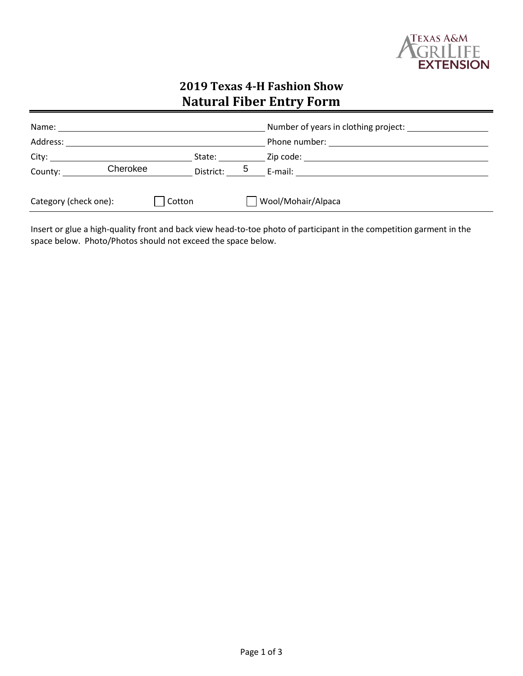

# **2019 Texas 4-H Fashion Show Natural Fiber Entry Form**

| Name: $\_$               |  |             | Number of years in clothing project:                                                                                                                                                                                          |  |  |
|--------------------------|--|-------------|-------------------------------------------------------------------------------------------------------------------------------------------------------------------------------------------------------------------------------|--|--|
| Address:                 |  |             |                                                                                                                                                                                                                               |  |  |
| City: City:              |  | State:      | Zip code: the contract of the contract of the contract of the contract of the contract of the contract of the contract of the contract of the contract of the contract of the contract of the contract of the contract of the |  |  |
| Cherokee<br>County: ____ |  | District: 5 | E-mail: $\qquad \qquad$                                                                                                                                                                                                       |  |  |
| Category (check one):    |  | Cotton      | Wool/Mohair/Alpaca                                                                                                                                                                                                            |  |  |
|                          |  |             |                                                                                                                                                                                                                               |  |  |

Insert or glue a high-quality front and back view head-to-toe photo of participant in the competition garment in the space below. Photo/Photos should not exceed the space below.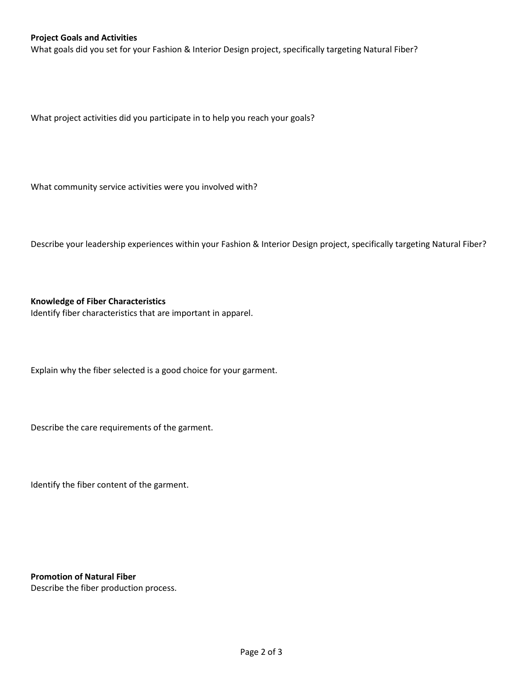#### **Project Goals and Activities**

What goals did you set for your Fashion & Interior Design project, specifically targeting Natural Fiber?

What project activities did you participate in to help you reach your goals?

What community service activities were you involved with?

Describe your leadership experiences within your Fashion & Interior Design project, specifically targeting Natural Fiber?

#### **Knowledge of Fiber Characteristics**

Identify fiber characteristics that are important in apparel.

Explain why the fiber selected is a good choice for your garment.

Describe the care requirements of the garment.

Identify the fiber content of the garment.

**Promotion of Natural Fiber** 

Describe the fiber production process.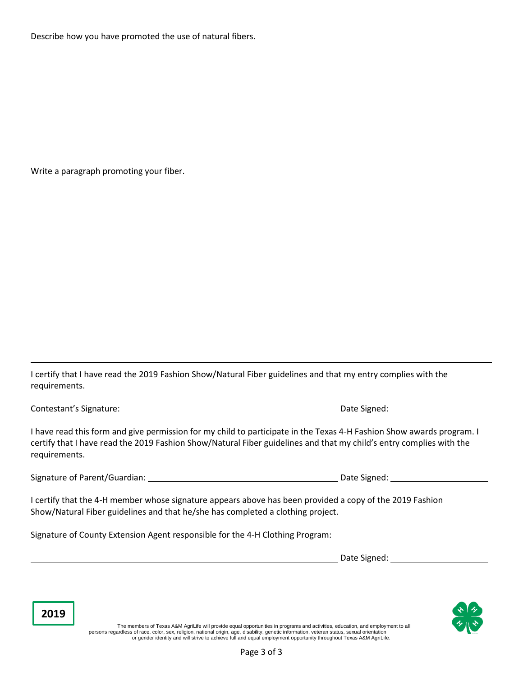Describe how you have promoted the use of natural fibers.

Write a paragraph promoting your fiber.

I certify that I have read the 2019 Fashion Show/Natural Fiber guidelines and that my entry complies with the requirements.

Contestant's Signature: Date Signed:

**2019**

I have read this form and give permission for my child to participate in the Texas 4-H Fashion Show awards program. I certify that I have read the 2019 Fashion Show/Natural Fiber guidelines and that my child's entry complies with the requirements.

Signature of Parent/Guardian: The Signature of Parent/Guardian: The Signature of Parent Australian:

I certify that the 4-H member whose signature appears above has been provided a copy of the 2019 Fashion Show/Natural Fiber guidelines and that he/she has completed a clothing project.

Signature of County Extension Agent responsible for the 4-H Clothing Program:

Date Signed: University of the Signed:



The members of Texas A&M AgriLife will provide equal opportunities in programs and activities, education, and employment to all persons regardless of race, color, sex, religion, national origin, age, disability, genetic information, veteran status, sexual orientation<br>or gender identity and will strive to achieve full and equal employment opportunit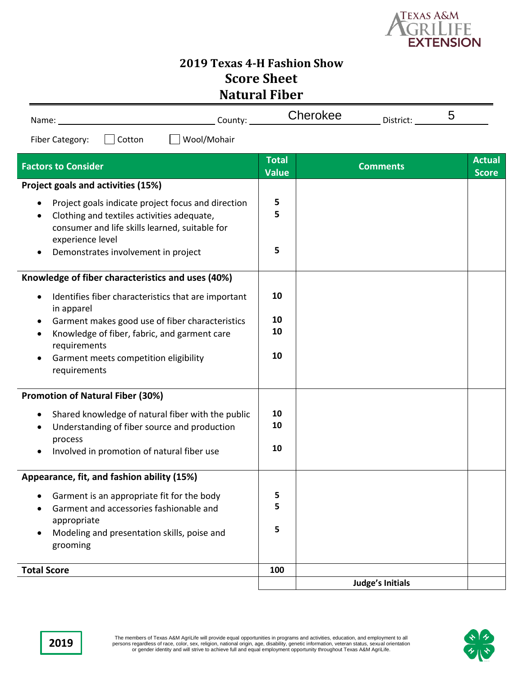

# **2019 Texas 4-H Fashion Show Score Sheet Natural Fiber**

| Name: | $\mathsf{count}$ | $ -$<br>---<br>.<br>лкее | - -<br>District: | ັ |
|-------|------------------|--------------------------|------------------|---|
|       |                  |                          |                  |   |

Fiber Category: Cotton Mool/Mohair

| <b>Factors to Consider</b>                                                                                                                                                                                    | <b>Total</b><br><b>Value</b> | <b>Comments</b>         | <b>Actual</b><br><b>Score</b> |
|---------------------------------------------------------------------------------------------------------------------------------------------------------------------------------------------------------------|------------------------------|-------------------------|-------------------------------|
| Project goals and activities (15%)                                                                                                                                                                            |                              |                         |                               |
| Project goals indicate project focus and direction<br>Clothing and textiles activities adequate,<br>consumer and life skills learned, suitable for<br>experience level<br>Demonstrates involvement in project | 5<br>5<br>5                  |                         |                               |
| Knowledge of fiber characteristics and uses (40%)                                                                                                                                                             |                              |                         |                               |
| Identifies fiber characteristics that are important<br>in apparel                                                                                                                                             | 10                           |                         |                               |
| Garment makes good use of fiber characteristics<br>Knowledge of fiber, fabric, and garment care<br>$\bullet$<br>requirements                                                                                  | 10<br>10                     |                         |                               |
| Garment meets competition eligibility<br>requirements                                                                                                                                                         | 10                           |                         |                               |
| <b>Promotion of Natural Fiber (30%)</b>                                                                                                                                                                       |                              |                         |                               |
| Shared knowledge of natural fiber with the public<br>Understanding of fiber source and production<br>$\bullet$<br>process<br>Involved in promotion of natural fiber use                                       | 10<br>10<br>10               |                         |                               |
| Appearance, fit, and fashion ability (15%)                                                                                                                                                                    |                              |                         |                               |
| Garment is an appropriate fit for the body<br>Garment and accessories fashionable and<br>$\bullet$<br>appropriate<br>Modeling and presentation skills, poise and<br>grooming                                  | 5<br>5<br>5                  |                         |                               |
| <b>Total Score</b>                                                                                                                                                                                            | 100                          |                         |                               |
|                                                                                                                                                                                                               |                              | <b>Judge's Initials</b> |                               |